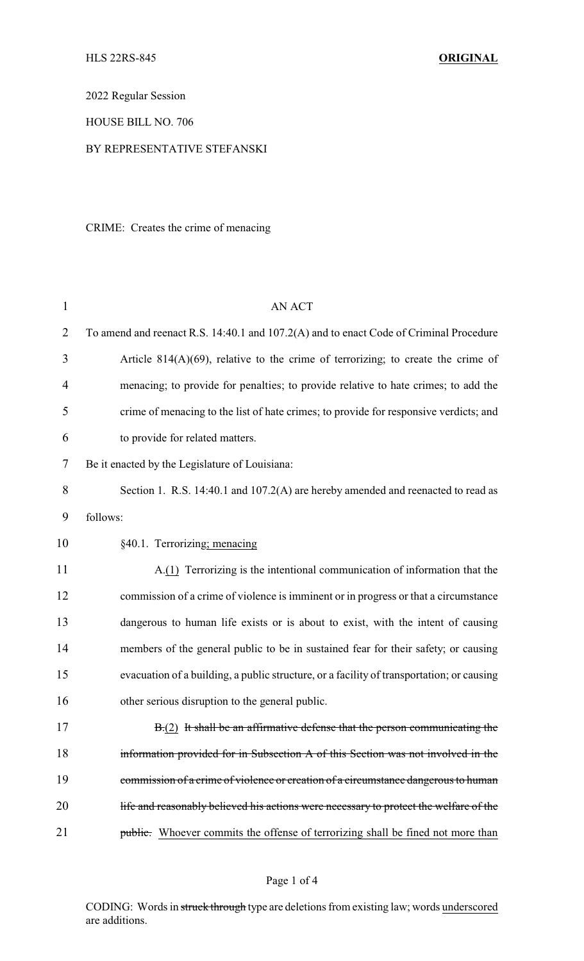2022 Regular Session

HOUSE BILL NO. 706

### BY REPRESENTATIVE STEFANSKI

CRIME: Creates the crime of menacing

| $\mathbf{1}$   | <b>AN ACT</b>                                                                             |
|----------------|-------------------------------------------------------------------------------------------|
| $\overline{2}$ | To amend and reenact R.S. 14:40.1 and 107.2(A) and to enact Code of Criminal Procedure    |
| 3              | Article $814(A)(69)$ , relative to the crime of terrorizing; to create the crime of       |
| 4              | menacing; to provide for penalties; to provide relative to hate crimes; to add the        |
| 5              | crime of menacing to the list of hate crimes; to provide for responsive verdicts; and     |
| 6              | to provide for related matters.                                                           |
| 7              | Be it enacted by the Legislature of Louisiana:                                            |
| 8              | Section 1. R.S. 14:40.1 and 107.2(A) are hereby amended and reenacted to read as          |
| 9              | follows:                                                                                  |
| 10             | §40.1. Terrorizing; menacing                                                              |
| 11             | A.(1) Terrorizing is the intentional communication of information that the                |
| 12             | commission of a crime of violence is imminent or in progress or that a circumstance       |
| 13             | dangerous to human life exists or is about to exist, with the intent of causing           |
| 14             | members of the general public to be in sustained fear for their safety; or causing        |
| 15             | evacuation of a building, a public structure, or a facility of transportation; or causing |
| 16             | other serious disruption to the general public.                                           |
| 17             | B.(2) It shall be an affirmative defense that the person communicating the                |
| 18             | information provided for in Subsection A of this Section was not involved in the          |
| 19             | commission of a crime of violence or creation of a circumstance dangerous to human        |
| 20             | life and reasonably believed his actions were necessary to protect the welfare of the     |
| 21             | <b>public.</b> Whoever commits the offense of terrorizing shall be fined not more than    |

## Page 1 of 4

CODING: Words in struck through type are deletions from existing law; words underscored are additions.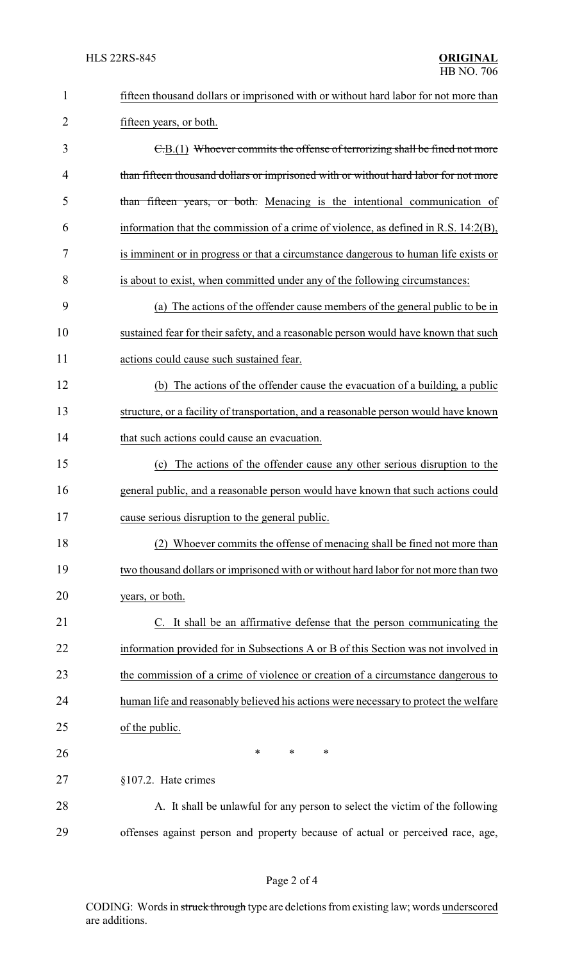| $\mathbf{1}$ | fifteen thousand dollars or imprisoned with or without hard labor for not more than  |
|--------------|--------------------------------------------------------------------------------------|
| 2            | fifteen years, or both.                                                              |
| 3            | C.B.(1) Whoever commits the offense of terrorizing shall be fined not more           |
| 4            | than fifteen thousand dollars or imprisoned with or without hard labor for not more  |
| 5            | than fifteen years, or both. Menacing is the intentional communication of            |
| 6            | information that the commission of a crime of violence, as defined in R.S. 14:2(B),  |
| 7            | is imminent or in progress or that a circumstance dangerous to human life exists or  |
| 8            | is about to exist, when committed under any of the following circumstances:          |
| 9            | (a) The actions of the offender cause members of the general public to be in         |
| 10           | sustained fear for their safety, and a reasonable person would have known that such  |
| 11           | actions could cause such sustained fear.                                             |
| 12           | (b) The actions of the offender cause the evacuation of a building, a public         |
| 13           | structure, or a facility of transportation, and a reasonable person would have known |
| 14           | that such actions could cause an evacuation.                                         |
| 15           | (c) The actions of the offender cause any other serious disruption to the            |
| 16           | general public, and a reasonable person would have known that such actions could     |
| 17           | cause serious disruption to the general public.                                      |
| 18           | (2) Whoever commits the offense of menacing shall be fined not more than             |
| 19           | two thousand dollars or imprisoned with or without hard labor for not more than two  |
| 20           | years, or both.                                                                      |
| 21           | C. It shall be an affirmative defense that the person communicating the              |
| 22           | information provided for in Subsections A or B of this Section was not involved in   |
| 23           | the commission of a crime of violence or creation of a circumstance dangerous to     |
| 24           | human life and reasonably believed his actions were necessary to protect the welfare |
| 25           | of the public.                                                                       |
| 26           | ∗<br>∗<br>∗                                                                          |
| 27           | §107.2. Hate crimes                                                                  |
| 28           | A. It shall be unlawful for any person to select the victim of the following         |
| 29           | offenses against person and property because of actual or perceived race, age,       |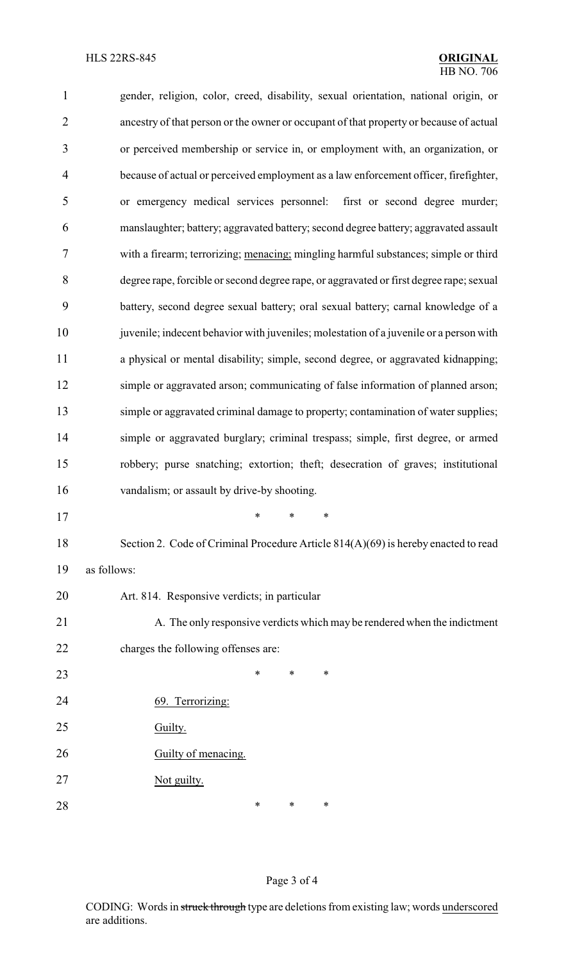| $\mathbf{1}$   | gender, religion, color, creed, disability, sexual orientation, national origin, or     |
|----------------|-----------------------------------------------------------------------------------------|
| $\overline{2}$ | ancestry of that person or the owner or occupant of that property or because of actual  |
| 3              | or perceived membership or service in, or employment with, an organization, or          |
| $\overline{4}$ | because of actual or perceived employment as a law enforcement officer, firefighter,    |
| $\mathfrak s$  | or emergency medical services personnel: first or second degree murder;                 |
| 6              | manslaughter; battery; aggravated battery; second degree battery; aggravated assault    |
| 7              | with a firearm; terrorizing; menacing; mingling harmful substances; simple or third     |
| $8\,$          | degree rape, forcible or second degree rape, or aggravated or first degree rape; sexual |
| 9              | battery, second degree sexual battery; oral sexual battery; carnal knowledge of a       |
| 10             | juvenile; indecent behavior with juveniles; molestation of a juvenile or a person with  |
| 11             | a physical or mental disability; simple, second degree, or aggravated kidnapping;       |
| 12             | simple or aggravated arson; communicating of false information of planned arson;        |
| 13             | simple or aggravated criminal damage to property; contamination of water supplies;      |
| 14             | simple or aggravated burglary; criminal trespass; simple, first degree, or armed        |
| 15             | robbery; purse snatching; extortion; theft; desecration of graves; institutional        |
| 16             | vandalism; or assault by drive-by shooting.                                             |
| 17             | $\ast$ $\ast$ $\ast$                                                                    |
| 18             | Section 2. Code of Criminal Procedure Article 814(A)(69) is hereby enacted to read      |
| 19             | as follows:                                                                             |
| 20             | Art. 814. Responsive verdicts; in particular                                            |
| 21             | A. The only responsive verdicts which may be rendered when the indictment               |
| 22             | charges the following offenses are:                                                     |
| 23             | *<br>*<br>*                                                                             |
| 24             | 69. Terrorizing:                                                                        |
| 25             | Guilty.                                                                                 |
| 26             | Guilty of menacing.                                                                     |
| 27             | Not guilty.                                                                             |
| 28             | ∗<br>∗<br>*                                                                             |

# Page 3 of 4